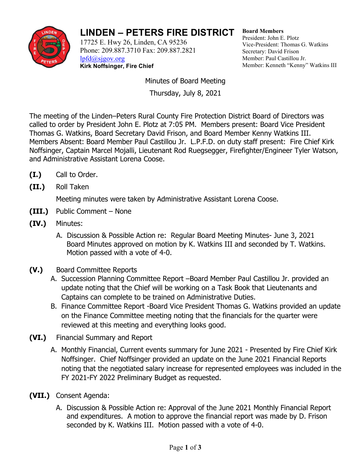

## **LINDEN – PETERS FIRE DISTRICT**

17725 E. Hwy 26, Linden, CA 95236 Phone: 209.887.3710 Fax: 209.887.2821 [lpfd@sjgov.org](mailto:lpfd@sjgov.org) **Kirk Noffsinger, Fire Chief**

**Board Members** President: John E. Plotz Vice-President: Thomas G. Watkins Secretary: David Frison Member: Paul Castillou Jr. Member: Kenneth "Kenny" Watkins III

Minutes of Board Meeting

Thursday, July 8, 2021

The meeting of the Linden–Peters Rural County Fire Protection District Board of Directors was called to order by President John E. Plotz at 7:05 PM. Members present: Board Vice President Thomas G. Watkins, Board Secretary David Frison, and Board Member Kenny Watkins III. Members Absent: Board Member Paul Castillou Jr. L.P.F.D. on duty staff present: Fire Chief Kirk Noffsinger, Captain Marcel Mojalli, Lieutenant Rod Ruegsegger, Firefighter/Engineer Tyler Watson, and Administrative Assistant Lorena Coose.

- **(I.)** Call to Order.
- **(II.)** Roll Taken

Meeting minutes were taken by Administrative Assistant Lorena Coose.

- **(III.)** Public Comment None
- **(IV.)** Minutes:
	- A. Discussion & Possible Action re: Regular Board Meeting Minutes- June 3, 2021 Board Minutes approved on motion by K. Watkins III and seconded by T. Watkins. Motion passed with a vote of 4-0.
- **(V.)** Board Committee Reports
	- A. Succession Planning Committee Report –Board Member Paul Castillou Jr. provided an update noting that the Chief will be working on a Task Book that Lieutenants and Captains can complete to be trained on Administrative Duties.
	- B. Finance Committee Report -Board Vice President Thomas G. Watkins provided an update on the Finance Committee meeting noting that the financials for the quarter were reviewed at this meeting and everything looks good.
- **(VI.)** Financial Summary and Report
	- A. Monthly Financial, Current events summary for June 2021 Presented by Fire Chief Kirk Noffsinger. Chief Noffsinger provided an update on the June 2021 Financial Reports noting that the negotiated salary increase for represented employees was included in the FY 2021-FY 2022 Preliminary Budget as requested.
- **(VII.)** Consent Agenda:
	- A. Discussion & Possible Action re: Approval of the June 2021 Monthly Financial Report and expenditures. A motion to approve the financial report was made by D. Frison seconded by K. Watkins III. Motion passed with a vote of 4-0.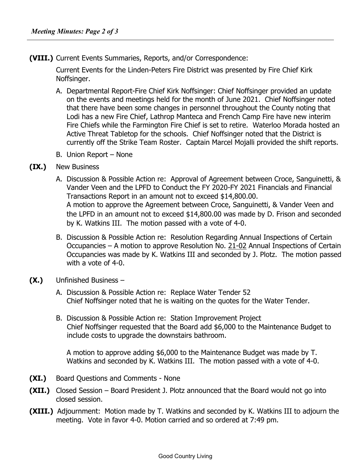**(VIII.)** Current Events Summaries, Reports, and/or Correspondence:

Current Events for the Linden-Peters Fire District was presented by Fire Chief Kirk Noffsinger.

- A. Departmental Report-Fire Chief Kirk Noffsinger: Chief Noffsinger provided an update on the events and meetings held for the month of June 2021. Chief Noffsinger noted that there have been some changes in personnel throughout the County noting that Lodi has a new Fire Chief, Lathrop Manteca and French Camp Fire have new interim Fire Chiefs while the Farmington Fire Chief is set to retire. Waterloo Morada hosted an Active Threat Tabletop for the schools. Chief Noffsinger noted that the District is currently off the Strike Team Roster. Captain Marcel Mojalli provided the shift reports.
- B. Union Report None
- **(IX.)** New Business
	- A. Discussion & Possible Action re: Approval of Agreement between Croce, Sanguinetti, & Vander Veen and the LPFD to Conduct the FY 2020-FY 2021 Financials and Financial Transactions Report in an amount not to exceed \$14,800.00. A motion to approve the Agreement between Croce, Sanguinetti, & Vander Veen and the LPFD in an amount not to exceed \$14,800.00 was made by D. Frison and seconded by K. Watkins III. The motion passed with a vote of 4-0.
	- B. Discussion & Possible Action re: Resolution Regarding Annual Inspections of Certain Occupancies – A motion to approve Resolution No. 21-02 Annual Inspections of Certain Occupancies was made by K. Watkins III and seconded by J. Plotz. The motion passed with a vote of 4-0.
- **(X.)** Unfinished Business
	- A. Discussion & Possible Action re: Replace Water Tender 52 Chief Noffsinger noted that he is waiting on the quotes for the Water Tender.
	- B. Discussion & Possible Action re: Station Improvement Project Chief Noffsinger requested that the Board add \$6,000 to the Maintenance Budget to include costs to upgrade the downstairs bathroom.

A motion to approve adding \$6,000 to the Maintenance Budget was made by T. Watkins and seconded by K. Watkins III. The motion passed with a vote of 4-0.

- **(XI.)** Board Questions and Comments None
- **(XII.)** Closed Session Board President J. Plotz announced that the Board would not go into closed session.
- **(XIII.)** Adjournment:Motion made by T. Watkins and seconded by K. Watkins III to adjourn the meeting. Vote in favor 4-0. Motion carried and so ordered at 7:49 pm.